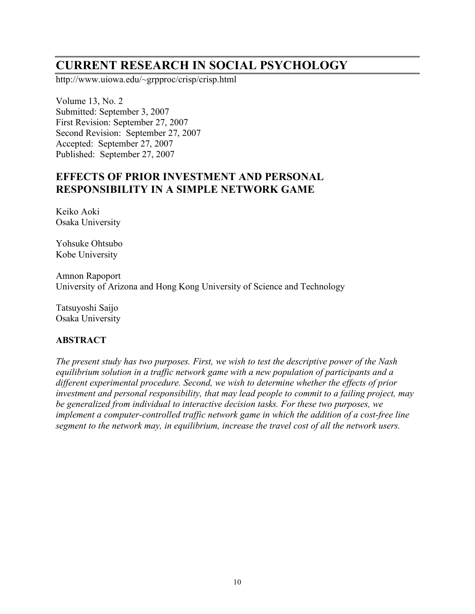# **CURRENT RESEARCH IN SOCIAL PSYCHOLOGY**

http://www.uiowa.edu/~grpproc/crisp/crisp.html

Volume 13, No. 2 Submitted: September 3, 2007 First Revision: September 27, 2007 Second Revision: September 27, 2007 Accepted: September 27, 2007 Published: September 27, 2007

# **EFFECTS OF PRIOR INVESTMENT AND PERSONAL RESPONSIBILITY IN A SIMPLE NETWORK GAME**

Keiko Aoki Osaka University

Yohsuke Ohtsubo Kobe University

Amnon Rapoport University of Arizona and Hong Kong University of Science and Technology

Tatsuyoshi Saijo Osaka University

## **ABSTRACT**

*The present study has two purposes. First, we wish to test the descriptive power of the Nash equilibrium solution in a traffic network game with a new population of participants and a different experimental procedure. Second, we wish to determine whether the effects of prior investment and personal responsibility, that may lead people to commit to a failing project, may be generalized from individual to interactive decision tasks. For these two purposes, we implement a computer-controlled traffic network game in which the addition of a cost-free line segment to the network may, in equilibrium, increase the travel cost of all the network users.*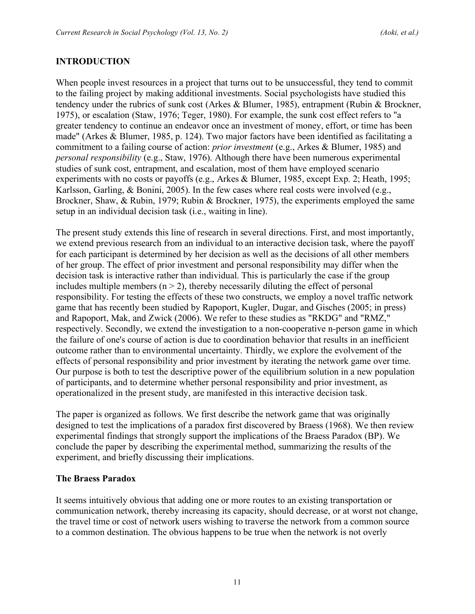#### **INTRODUCTION**

When people invest resources in a project that turns out to be unsuccessful, they tend to commit to the failing project by making additional investments. Social psychologists have studied this tendency under the rubrics of sunk cost (Arkes & Blumer, 1985), entrapment (Rubin & Brockner, 1975), or escalation (Staw, 1976; Teger, 1980). For example, the sunk cost effect refers to "a greater tendency to continue an endeavor once an investment of money, effort, or time has been made" (Arkes & Blumer, 1985, p. 124). Two major factors have been identified as facilitating a commitment to a failing course of action: *prior investment* (e.g., Arkes & Blumer, 1985) and *personal responsibility* (e.g., Staw, 1976). Although there have been numerous experimental studies of sunk cost, entrapment, and escalation, most of them have employed scenario experiments with no costs or payoffs (e.g., Arkes & Blumer, 1985, except Exp. 2; Heath, 1995; Karlsson, Garling, & Bonini, 2005). In the few cases where real costs were involved (e.g., Brockner, Shaw, & Rubin, 1979; Rubin & Brockner, 1975), the experiments employed the same setup in an individual decision task (i.e., waiting in line).

The present study extends this line of research in several directions. First, and most importantly, we extend previous research from an individual to an interactive decision task, where the payoff for each participant is determined by her decision as well as the decisions of all other members of her group. The effect of prior investment and personal responsibility may differ when the decision task is interactive rather than individual. This is particularly the case if the group includes multiple members  $(n > 2)$ , thereby necessarily diluting the effect of personal responsibility. For testing the effects of these two constructs, we employ a novel traffic network game that has recently been studied by Rapoport, Kugler, Dugar, and Gisches (2005; in press) and Rapoport, Mak, and Zwick (2006). We refer to these studies as "RKDG" and "RMZ," respectively. Secondly, we extend the investigation to a non-cooperative n-person game in which the failure of one's course of action is due to coordination behavior that results in an inefficient outcome rather than to environmental uncertainty. Thirdly, we explore the evolvement of the effects of personal responsibility and prior investment by iterating the network game over time. Our purpose is both to test the descriptive power of the equilibrium solution in a new population of participants, and to determine whether personal responsibility and prior investment, as operationalized in the present study, are manifested in this interactive decision task.

The paper is organized as follows. We first describe the network game that was originally designed to test the implications of a paradox first discovered by Braess (1968). We then review experimental findings that strongly support the implications of the Braess Paradox (BP). We conclude the paper by describing the experimental method, summarizing the results of the experiment, and briefly discussing their implications.

#### **The Braess Paradox**

It seems intuitively obvious that adding one or more routes to an existing transportation or communication network, thereby increasing its capacity, should decrease, or at worst not change, the travel time or cost of network users wishing to traverse the network from a common source to a common destination. The obvious happens to be true when the network is not overly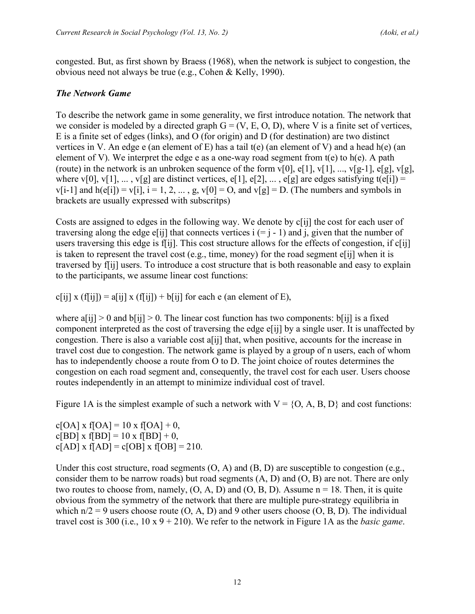congested. But, as first shown by Braess (1968), when the network is subject to congestion, the obvious need not always be true (e.g., Cohen & Kelly, 1990).

## *The Network Game*

To describe the network game in some generality, we first introduce notation. The network that we consider is modeled by a directed graph  $G = (V, E, O, D)$ , where V is a finite set of vertices, E is a finite set of edges (links), and O (for origin) and D (for destination) are two distinct vertices in V. An edge e (an element of E) has a tail  $t(e)$  (an element of V) and a head h(e) (an element of V). We interpret the edge e as a one-way road segment from  $t(e)$  to  $h(e)$ . A path (route) in the network is an unbroken sequence of the form  $v[0]$ ,  $e[1]$ ,  $v[1]$ , ...,  $v[g-1]$ ,  $e[g]$ ,  $v[g]$ , where v[0], v[1], ..., v[g] are distinct vertices, e[1], e[2], ..., e[g] are edges satisfying t(e[i]) =  $v[i-1]$  and  $h(e[i]) = v[i], i = 1, 2, ..., g, v[0] = 0$ , and  $v[g] = D$ . (The numbers and symbols in brackets are usually expressed with subscritps)

Costs are assigned to edges in the following way. We denote by c[ij] the cost for each user of traversing along the edge e[ij] that connects vertices  $i (= j - 1)$  and j, given that the number of users traversing this edge is f[ij]. This cost structure allows for the effects of congestion, if c[ij] is taken to represent the travel cost (e.g., time, money) for the road segment e[ij] when it is traversed by f[ij] users. To introduce a cost structure that is both reasonable and easy to explain to the participants, we assume linear cost functions:

c[ij] x (f[ij]) = a[ij] x (f[ij]) + b[ij] for each e (an element of E),

where  $a[i] > 0$  and  $b[i] > 0$ . The linear cost function has two components:  $b[i]$  is a fixed component interpreted as the cost of traversing the edge e[ij] by a single user. It is unaffected by congestion. There is also a variable cost a[ij] that, when positive, accounts for the increase in travel cost due to congestion. The network game is played by a group of n users, each of whom has to independently choose a route from O to D. The joint choice of routes determines the congestion on each road segment and, consequently, the travel cost for each user. Users choose routes independently in an attempt to minimize individual cost of travel.

Figure 1A is the simplest example of such a network with  $V = \{O, A, B, D\}$  and cost functions:

 $c[OA]$  x f[OA] = 10 x f[OA] + 0,  $c[BD] \times f[BD] = 10 \times f[BD] + 0$ ,  $c[AD]$  x  $f[AD] = c[OB]$  x  $f[OB] = 210$ .

Under this cost structure, road segments  $(O, A)$  and  $(B, D)$  are susceptible to congestion (e.g., consider them to be narrow roads) but road segments (A, D) and (O, B) are not. There are only two routes to choose from, namely,  $(O, A, D)$  and  $(O, B, D)$ . Assume  $n = 18$ . Then, it is quite obvious from the symmetry of the network that there are multiple pure-strategy equilibria in which  $n/2 = 9$  users choose route (O, A, D) and 9 other users choose (O, B, D). The individual travel cost is 300 (i.e., 10 x 9 + 210). We refer to the network in Figure 1A as the *basic game*.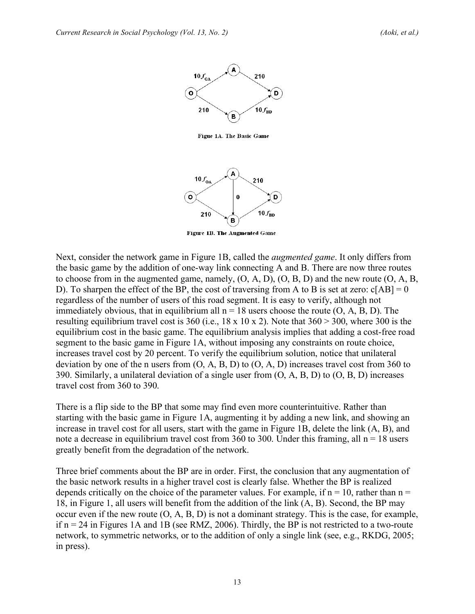

Figue 1A. The Basic Game



Figure 1B. The Augmented Game

Next, consider the network game in Figure 1B, called the *augmented game*. It only differs from the basic game by the addition of one-way link connecting A and B. There are now three routes to choose from in the augmented game, namely, (O, A, D), (O, B, D) and the new route (O, A, B, D). To sharpen the effect of the BP, the cost of traversing from A to B is set at zero:  $c[AB] = 0$ regardless of the number of users of this road segment. It is easy to verify, although not immediately obvious, that in equilibrium all  $n = 18$  users choose the route  $(0, A, B, D)$ . The resulting equilibrium travel cost is 360 (i.e.,  $18 \times 10 \times 2$ ). Note that  $360 > 300$ , where 300 is the equilibrium cost in the basic game. The equilibrium analysis implies that adding a cost-free road segment to the basic game in Figure 1A, without imposing any constraints on route choice, increases travel cost by 20 percent. To verify the equilibrium solution, notice that unilateral deviation by one of the n users from (O, A, B, D) to (O, A, D) increases travel cost from 360 to 390. Similarly, a unilateral deviation of a single user from (O, A, B, D) to (O, B, D) increases travel cost from 360 to 390.

There is a flip side to the BP that some may find even more counterintuitive. Rather than starting with the basic game in Figure 1A, augmenting it by adding a new link, and showing an increase in travel cost for all users, start with the game in Figure 1B, delete the link (A, B), and note a decrease in equilibrium travel cost from 360 to 300. Under this framing, all  $n = 18$  users greatly benefit from the degradation of the network.

Three brief comments about the BP are in order. First, the conclusion that any augmentation of the basic network results in a higher travel cost is clearly false. Whether the BP is realized depends critically on the choice of the parameter values. For example, if  $n = 10$ , rather than  $n =$ 18, in Figure 1, all users will benefit from the addition of the link (A, B). Second, the BP may occur even if the new route (O, A, B, D) is not a dominant strategy. This is the case, for example, if  $n = 24$  in Figures 1A and 1B (see RMZ, 2006). Thirdly, the BP is not restricted to a two-route network, to symmetric networks, or to the addition of only a single link (see, e.g., RKDG, 2005; in press).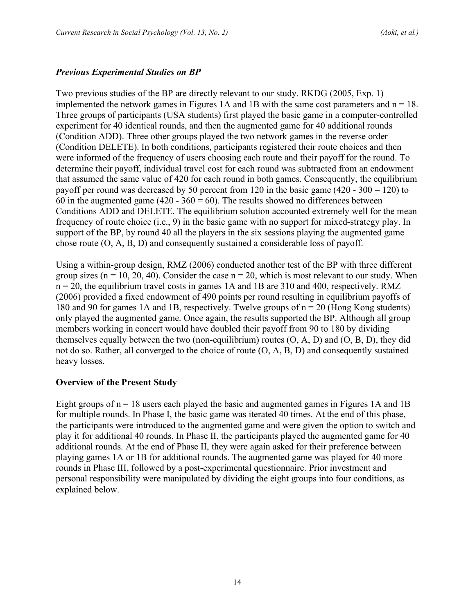#### *Previous Experimental Studies on BP*

Two previous studies of the BP are directly relevant to our study. RKDG (2005, Exp. 1) implemented the network games in Figures 1A and 1B with the same cost parameters and  $n = 18$ . Three groups of participants (USA students) first played the basic game in a computer-controlled experiment for 40 identical rounds, and then the augmented game for 40 additional rounds (Condition ADD). Three other groups played the two network games in the reverse order (Condition DELETE). In both conditions, participants registered their route choices and then were informed of the frequency of users choosing each route and their payoff for the round. To determine their payoff, individual travel cost for each round was subtracted from an endowment that assumed the same value of 420 for each round in both games. Consequently, the equilibrium payoff per round was decreased by 50 percent from 120 in the basic game  $(420 - 300 = 120)$  to 60 in the augmented game (420 -  $360 = 60$ ). The results showed no differences between Conditions ADD and DELETE. The equilibrium solution accounted extremely well for the mean frequency of route choice (i.e., 9) in the basic game with no support for mixed-strategy play. In support of the BP, by round 40 all the players in the six sessions playing the augmented game chose route (O, A, B, D) and consequently sustained a considerable loss of payoff.

Using a within-group design, RMZ (2006) conducted another test of the BP with three different group sizes ( $n = 10, 20, 40$ ). Consider the case  $n = 20$ , which is most relevant to our study. When  $n = 20$ , the equilibrium travel costs in games 1A and 1B are 310 and 400, respectively. RMZ (2006) provided a fixed endowment of 490 points per round resulting in equilibrium payoffs of 180 and 90 for games 1A and 1B, respectively. Twelve groups of n = 20 (Hong Kong students) only played the augmented game. Once again, the results supported the BP. Although all group members working in concert would have doubled their payoff from 90 to 180 by dividing themselves equally between the two (non-equilibrium) routes  $(O, A, D)$  and  $(O, B, D)$ , they did not do so. Rather, all converged to the choice of route (O, A, B, D) and consequently sustained heavy losses.

#### **Overview of the Present Study**

Eight groups of  $n = 18$  users each played the basic and augmented games in Figures 1A and 1B for multiple rounds. In Phase I, the basic game was iterated 40 times. At the end of this phase, the participants were introduced to the augmented game and were given the option to switch and play it for additional 40 rounds. In Phase II, the participants played the augmented game for 40 additional rounds. At the end of Phase II, they were again asked for their preference between playing games 1A or 1B for additional rounds. The augmented game was played for 40 more rounds in Phase III, followed by a post-experimental questionnaire. Prior investment and personal responsibility were manipulated by dividing the eight groups into four conditions, as explained below.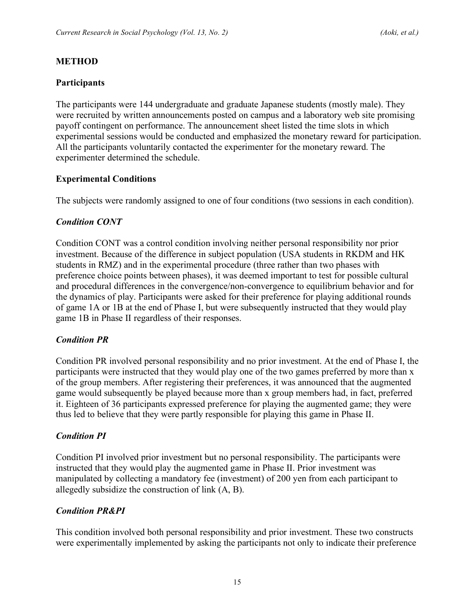## **METHOD**

## **Participants**

The participants were 144 undergraduate and graduate Japanese students (mostly male). They were recruited by written announcements posted on campus and a laboratory web site promising payoff contingent on performance. The announcement sheet listed the time slots in which experimental sessions would be conducted and emphasized the monetary reward for participation. All the participants voluntarily contacted the experimenter for the monetary reward. The experimenter determined the schedule.

## **Experimental Conditions**

The subjects were randomly assigned to one of four conditions (two sessions in each condition).

## *Condition CONT*

Condition CONT was a control condition involving neither personal responsibility nor prior investment. Because of the difference in subject population (USA students in RKDM and HK students in RMZ) and in the experimental procedure (three rather than two phases with preference choice points between phases), it was deemed important to test for possible cultural and procedural differences in the convergence/non-convergence to equilibrium behavior and for the dynamics of play. Participants were asked for their preference for playing additional rounds of game 1A or 1B at the end of Phase I, but were subsequently instructed that they would play game 1B in Phase II regardless of their responses.

## *Condition PR*

Condition PR involved personal responsibility and no prior investment. At the end of Phase I, the participants were instructed that they would play one of the two games preferred by more than x of the group members. After registering their preferences, it was announced that the augmented game would subsequently be played because more than x group members had, in fact, preferred it. Eighteen of 36 participants expressed preference for playing the augmented game; they were thus led to believe that they were partly responsible for playing this game in Phase II.

## *Condition PI*

Condition PI involved prior investment but no personal responsibility. The participants were instructed that they would play the augmented game in Phase II. Prior investment was manipulated by collecting a mandatory fee (investment) of 200 yen from each participant to allegedly subsidize the construction of link (A, B).

## *Condition PR&PI*

This condition involved both personal responsibility and prior investment. These two constructs were experimentally implemented by asking the participants not only to indicate their preference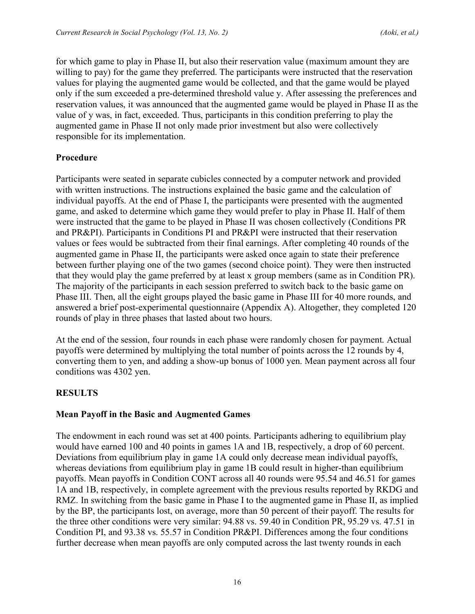for which game to play in Phase II, but also their reservation value (maximum amount they are willing to pay) for the game they preferred. The participants were instructed that the reservation values for playing the augmented game would be collected, and that the game would be played only if the sum exceeded a pre-determined threshold value y. After assessing the preferences and reservation values, it was announced that the augmented game would be played in Phase II as the value of y was, in fact, exceeded. Thus, participants in this condition preferring to play the augmented game in Phase II not only made prior investment but also were collectively responsible for its implementation.

## **Procedure**

Participants were seated in separate cubicles connected by a computer network and provided with written instructions. The instructions explained the basic game and the calculation of individual payoffs. At the end of Phase I, the participants were presented with the augmented game, and asked to determine which game they would prefer to play in Phase II. Half of them were instructed that the game to be played in Phase II was chosen collectively (Conditions PR and PR&PI). Participants in Conditions PI and PR&PI were instructed that their reservation values or fees would be subtracted from their final earnings. After completing 40 rounds of the augmented game in Phase II, the participants were asked once again to state their preference between further playing one of the two games (second choice point). They were then instructed that they would play the game preferred by at least x group members (same as in Condition PR). The majority of the participants in each session preferred to switch back to the basic game on Phase III. Then, all the eight groups played the basic game in Phase III for 40 more rounds, and answered a brief post-experimental questionnaire (Appendix A). Altogether, they completed 120 rounds of play in three phases that lasted about two hours.

At the end of the session, four rounds in each phase were randomly chosen for payment. Actual payoffs were determined by multiplying the total number of points across the 12 rounds by 4, converting them to yen, and adding a show-up bonus of 1000 yen. Mean payment across all four conditions was 4302 yen.

# **RESULTS**

## **Mean Payoff in the Basic and Augmented Games**

The endowment in each round was set at 400 points. Participants adhering to equilibrium play would have earned 100 and 40 points in games 1A and 1B, respectively, a drop of 60 percent. Deviations from equilibrium play in game 1A could only decrease mean individual payoffs, whereas deviations from equilibrium play in game 1B could result in higher-than equilibrium payoffs. Mean payoffs in Condition CONT across all 40 rounds were 95.54 and 46.51 for games 1A and 1B, respectively, in complete agreement with the previous results reported by RKDG and RMZ. In switching from the basic game in Phase I to the augmented game in Phase II, as implied by the BP, the participants lost, on average, more than 50 percent of their payoff. The results for the three other conditions were very similar: 94.88 vs. 59.40 in Condition PR, 95.29 vs. 47.51 in Condition PI, and 93.38 vs. 55.57 in Condition PR&PI. Differences among the four conditions further decrease when mean payoffs are only computed across the last twenty rounds in each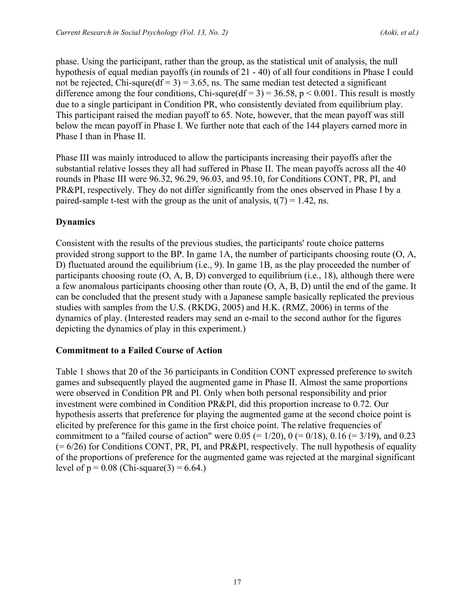phase. Using the participant, rather than the group, as the statistical unit of analysis, the null hypothesis of equal median payoffs (in rounds of 21 - 40) of all four conditions in Phase I could not be rejected, Chi-squre(df = 3) = 3.65, ns. The same median test detected a significant difference among the four conditions, Chi-squre(df = 3) = 36.58, p < 0.001. This result is mostly due to a single participant in Condition PR, who consistently deviated from equilibrium play. This participant raised the median payoff to 65. Note, however, that the mean payoff was still below the mean payoff in Phase I. We further note that each of the 144 players earned more in Phase I than in Phase II.

Phase III was mainly introduced to allow the participants increasing their payoffs after the substantial relative losses they all had suffered in Phase II. The mean payoffs across all the 40 rounds in Phase III were 96.32, 96.29, 96.03, and 95.10, for Conditions CONT, PR, PI, and PR&PI, respectively. They do not differ significantly from the ones observed in Phase I by a paired-sample t-test with the group as the unit of analysis,  $t(7) = 1.42$ , ns.

# **Dynamics**

Consistent with the results of the previous studies, the participants' route choice patterns provided strong support to the BP. In game 1A, the number of participants choosing route (O, A, D) fluctuated around the equilibrium (i.e., 9). In game 1B, as the play proceeded the number of participants choosing route  $(O, A, B, D)$  converged to equilibrium (i.e., 18), although there were a few anomalous participants choosing other than route (O, A, B, D) until the end of the game. It can be concluded that the present study with a Japanese sample basically replicated the previous studies with samples from the U.S. (RKDG, 2005) and H.K. (RMZ, 2006) in terms of the dynamics of play. (Interested readers may send an e-mail to the second author for the figures depicting the dynamics of play in this experiment.)

## **Commitment to a Failed Course of Action**

Table 1 shows that 20 of the 36 participants in Condition CONT expressed preference to switch games and subsequently played the augmented game in Phase II. Almost the same proportions were observed in Condition PR and PI. Only when both personal responsibility and prior investment were combined in Condition PR&PI, did this proportion increase to 0.72. Our hypothesis asserts that preference for playing the augmented game at the second choice point is elicited by preference for this game in the first choice point. The relative frequencies of commitment to a "failed course of action" were  $0.05 (= 1/20)$ ,  $0 (= 0/18)$ ,  $0.16 (= 3/19)$ , and  $0.23$  $(= 6/26)$  for Conditions CONT, PR, PI, and PR&PI, respectively. The null hypothesis of equality of the proportions of preference for the augmented game was rejected at the marginal significant level of  $p = 0.08$  (Chi-square(3) = 6.64.)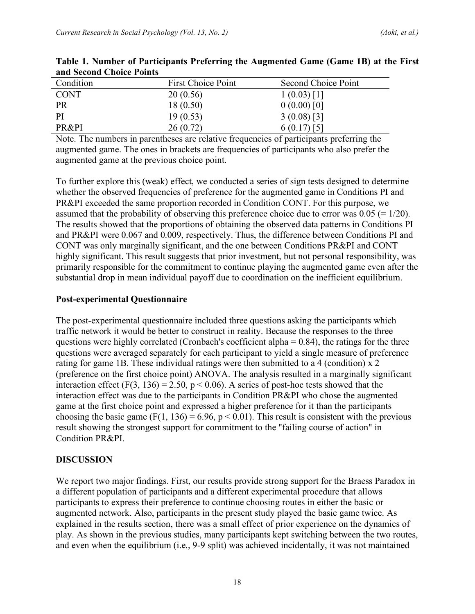| Condition   | <b>First Choice Point</b> | Second Choice Point |
|-------------|---------------------------|---------------------|
| <b>CONT</b> | 20(0.56)                  | $1(0.03)$ [1]       |
| <b>PR</b>   | 18(0.50)                  | 0(0.00)[0]          |
| PI          | 19(0.53)                  | $3(0.08)$ [3]       |
| PR&PI       | 26(0.72)                  | $6(0.17)$ [5]       |

**Table 1. Number of Participants Preferring the Augmented Game (Game 1B) at the First and Second Choice Points**

Note. The numbers in parentheses are relative frequencies of participants preferring the augmented game. The ones in brackets are frequencies of participants who also prefer the augmented game at the previous choice point.

To further explore this (weak) effect, we conducted a series of sign tests designed to determine whether the observed frequencies of preference for the augmented game in Conditions PI and PR&PI exceeded the same proportion recorded in Condition CONT. For this purpose, we assumed that the probability of observing this preference choice due to error was  $0.05 (= 1/20)$ . The results showed that the proportions of obtaining the observed data patterns in Conditions PI and PR&PI were 0.067 and 0.009, respectively. Thus, the difference between Conditions PI and CONT was only marginally significant, and the one between Conditions PR&PI and CONT highly significant. This result suggests that prior investment, but not personal responsibility, was primarily responsible for the commitment to continue playing the augmented game even after the substantial drop in mean individual payoff due to coordination on the inefficient equilibrium.

## **Post-experimental Questionnaire**

The post-experimental questionnaire included three questions asking the participants which traffic network it would be better to construct in reality. Because the responses to the three questions were highly correlated (Cronbach's coefficient alpha  $= 0.84$ ), the ratings for the three questions were averaged separately for each participant to yield a single measure of preference rating for game 1B. These individual ratings were then submitted to a 4 (condition) x 2 (preference on the first choice point) ANOVA. The analysis resulted in a marginally significant interaction effect (F(3, 136) = 2.50, p < 0.06). A series of post-hoc tests showed that the interaction effect was due to the participants in Condition PR&PI who chose the augmented game at the first choice point and expressed a higher preference for it than the participants choosing the basic game (F(1, 136) = 6.96, p < 0.01). This result is consistent with the previous result showing the strongest support for commitment to the "failing course of action" in Condition PR&PI.

# **DISCUSSION**

We report two major findings. First, our results provide strong support for the Braess Paradox in a different population of participants and a different experimental procedure that allows participants to express their preference to continue choosing routes in either the basic or augmented network. Also, participants in the present study played the basic game twice. As explained in the results section, there was a small effect of prior experience on the dynamics of play. As shown in the previous studies, many participants kept switching between the two routes, and even when the equilibrium (i.e., 9-9 split) was achieved incidentally, it was not maintained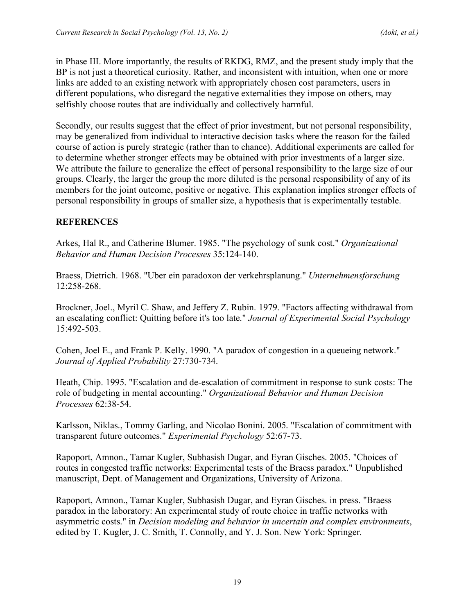in Phase III. More importantly, the results of RKDG, RMZ, and the present study imply that the BP is not just a theoretical curiosity. Rather, and inconsistent with intuition, when one or more links are added to an existing network with appropriately chosen cost parameters, users in different populations, who disregard the negative externalities they impose on others, may selfishly choose routes that are individually and collectively harmful.

Secondly, our results suggest that the effect of prior investment, but not personal responsibility, may be generalized from individual to interactive decision tasks where the reason for the failed course of action is purely strategic (rather than to chance). Additional experiments are called for to determine whether stronger effects may be obtained with prior investments of a larger size. We attribute the failure to generalize the effect of personal responsibility to the large size of our groups. Clearly, the larger the group the more diluted is the personal responsibility of any of its members for the joint outcome, positive or negative. This explanation implies stronger effects of personal responsibility in groups of smaller size, a hypothesis that is experimentally testable.

## **REFERENCES**

Arkes, Hal R., and Catherine Blumer. 1985. "The psychology of sunk cost." *Organizational Behavior and Human Decision Processes* 35:124-140.

Braess, Dietrich. 1968. "Uber ein paradoxon der verkehrsplanung." *Unternehmensforschung* 12:258-268.

Brockner, Joel., Myril C. Shaw, and Jeffery Z. Rubin. 1979. "Factors affecting withdrawal from an escalating conflict: Quitting before it's too late." *Journal of Experimental Social Psychology* 15:492-503.

Cohen, Joel E., and Frank P. Kelly. 1990. "A paradox of congestion in a queueing network." *Journal of Applied Probability* 27:730-734.

Heath, Chip. 1995. "Escalation and de-escalation of commitment in response to sunk costs: The role of budgeting in mental accounting." *Organizational Behavior and Human Decision Processes* 62:38-54.

Karlsson, Niklas., Tommy Garling, and Nicolao Bonini. 2005. "Escalation of commitment with transparent future outcomes." *Experimental Psychology* 52:67-73.

Rapoport, Amnon., Tamar Kugler, Subhasish Dugar, and Eyran Gisches. 2005. "Choices of routes in congested traffic networks: Experimental tests of the Braess paradox." Unpublished manuscript, Dept. of Management and Organizations, University of Arizona.

Rapoport, Amnon., Tamar Kugler, Subhasish Dugar, and Eyran Gisches. in press. "Braess paradox in the laboratory: An experimental study of route choice in traffic networks with asymmetric costs." in *Decision modeling and behavior in uncertain and complex environments*, edited by T. Kugler, J. C. Smith, T. Connolly, and Y. J. Son. New York: Springer.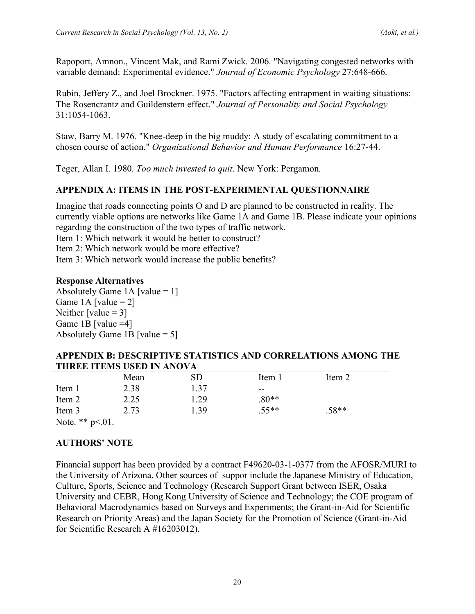Rapoport, Amnon., Vincent Mak, and Rami Zwick. 2006. "Navigating congested networks with variable demand: Experimental evidence." *Journal of Economic Psychology* 27:648-666.

Rubin, Jeffery Z., and Joel Brockner. 1975. "Factors affecting entrapment in waiting situations: The Rosencrantz and Guildenstern effect." *Journal of Personality and Social Psychology* 31:1054-1063.

Staw, Barry M. 1976. "Knee-deep in the big muddy: A study of escalating commitment to a chosen course of action." *Organizational Behavior and Human Performance* 16:27-44.

Teger, Allan I. 1980. *Too much invested to quit*. New York: Pergamon.

# **APPENDIX A: ITEMS IN THE POST-EXPERIMENTAL QUESTIONNAIRE**

Imagine that roads connecting points O and D are planned to be constructed in reality. The currently viable options are networks like Game 1A and Game 1B. Please indicate your opinions regarding the construction of the two types of traffic network.

Item 1: Which network it would be better to construct?

Item 2: Which network would be more effective?

Item 3: Which network would increase the public benefits?

## **Response Alternatives**

Absolutely Game 1A [value  $= 1$ ] Game 1A [value  $= 2$ ] Neither [value  $= 3$ ] Game 1B [value  $=4$ ] Absolutely Game 1B [value  $= 5$ ]

#### **APPENDIX B: DESCRIPTIVE STATISTICS AND CORRELATIONS AMONG THE THREE ITEMS USED IN ANOVA**

|        | Mean | SD   | Item 1  | Item 2  |  |
|--------|------|------|---------|---------|--|
| Item 1 | 2.38 | 1.37 | $- -$   |         |  |
| Item 2 | 2.25 | 1.29 | $.80**$ |         |  |
| Item 3 | 2.73 | .39  | $.55**$ | $.58**$ |  |
|        |      |      |         |         |  |

Note. \*\*  $p<01$ .

# **AUTHORS' NOTE**

Financial support has been provided by a contract F49620-03-1-0377 from the AFOSR/MURI to the University of Arizona. Other sources of suppor include the Japanese Ministry of Education, Culture, Sports, Science and Technology (Research Support Grant between ISER, Osaka University and CEBR, Hong Kong University of Science and Technology; the COE program of Behavioral Macrodynamics based on Surveys and Experiments; the Grant-in-Aid for Scientific Research on Priority Areas) and the Japan Society for the Promotion of Science (Grant-in-Aid for Scientific Research A #16203012).